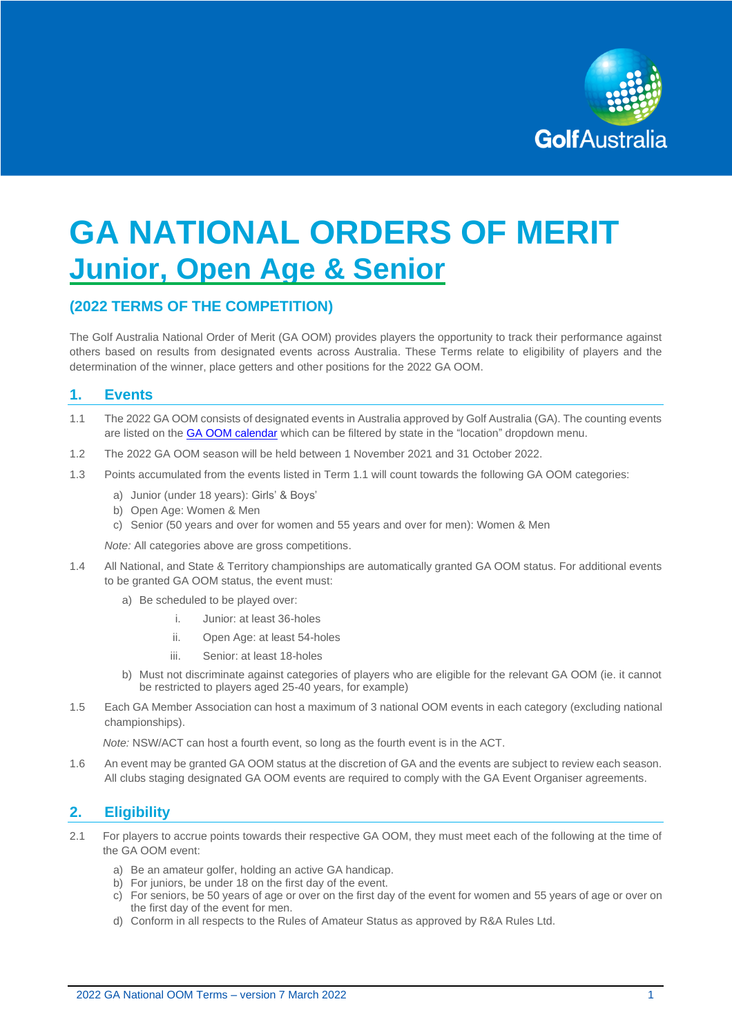

# **GA NATIONAL ORDERS OF MERIT Junior, Open Age & Senior**

# **(2022 TERMS OF THE COMPETITION)**

The Golf Australia National Order of Merit (GA OOM) provides players the opportunity to track their performance against others based on results from designated events across Australia. These Terms relate to eligibility of players and the determination of the winner, place getters and other positions for the 2022 GA OOM.

## **1. Events**

- 1.1 The 2022 GA OOM consists of designated events in Australia approved by Golf Australia (GA). The counting events are listed on the **GA OOM calendar** which can be filtered by state in the "location" dropdown menu.
- 1.2 The 2022 GA OOM season will be held between 1 November 2021 and 31 October 2022.
- 1.3 Points accumulated from the events listed in Term 1.1 will count towards the following GA OOM categories:
	- a) Junior (under 18 years): Girls' & Boys'
	- b) Open Age: Women & Men
	- c) Senior (50 years and over for women and 55 years and over for men): Women & Men

*Note:* All categories above are gross competitions.

- 1.4 All National, and State & Territory championships are automatically granted GA OOM status. For additional events to be granted GA OOM status, the event must:
	- a) Be scheduled to be played over:
		- i. Junior: at least 36-holes
		- ii. Open Age: at least 54-holes
		- iii. Senior: at least 18-holes
	- b) Must not discriminate against categories of players who are eligible for the relevant GA OOM (ie. it cannot be restricted to players aged 25-40 years, for example)
- 1.5 Each GA Member Association can host a maximum of 3 national OOM events in each category (excluding national championships).

*Note:* NSW/ACT can host a fourth event, so long as the fourth event is in the ACT.

1.6 An event may be granted GA OOM status at the discretion of GA and the events are subject to review each season. All clubs staging designated GA OOM events are required to comply with the GA Event Organiser agreements.

## **2. Eligibility**

- 2.1 For players to accrue points towards their respective GA OOM, they must meet each of the following at the time of the GA OOM event:
	- a) Be an amateur golfer, holding an active GA handicap.
	- b) For juniors, be under 18 on the first day of the event.
	- c) For seniors, be 50 years of age or over on the first day of the event for women and 55 years of age or over on the first day of the event for men.
	- d) Conform in all respects to the Rules of Amateur Status as approved by R&A Rules Ltd.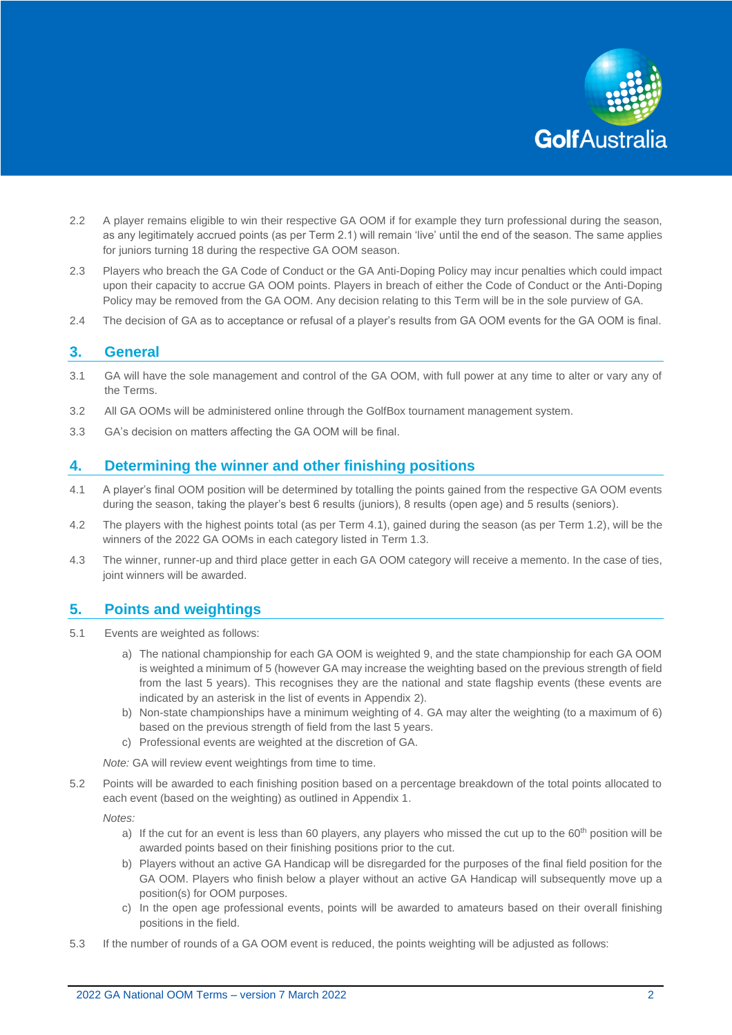

- 2.2 A player remains eligible to win their respective GA OOM if for example they turn professional during the season, as any legitimately accrued points (as per Term 2.1) will remain 'live' until the end of the season. The same applies for juniors turning 18 during the respective GA OOM season.
- 2.3 Players who breach the GA Code of Conduct or the GA Anti-Doping Policy may incur penalties which could impact upon their capacity to accrue GA OOM points. Players in breach of either the Code of Conduct or the Anti-Doping Policy may be removed from the GA OOM. Any decision relating to this Term will be in the sole purview of GA.
- 2.4 The decision of GA as to acceptance or refusal of a player's results from GA OOM events for the GA OOM is final.

#### **3. General**

- 3.1 GA will have the sole management and control of the GA OOM, with full power at any time to alter or vary any of the Terms.
- 3.2 All GA OOMs will be administered online through the GolfBox tournament management system.
- 3.3 GA's decision on matters affecting the GA OOM will be final.

## **4. Determining the winner and other finishing positions**

- 4.1 A player's final OOM position will be determined by totalling the points gained from the respective GA OOM events during the season, taking the player's best 6 results (juniors), 8 results (open age) and 5 results (seniors).
- 4.2 The players with the highest points total (as per Term 4.1), gained during the season (as per Term 1.2), will be the winners of the 2022 GA OOMs in each category listed in Term 1.3.
- 4.3 The winner, runner-up and third place getter in each GA OOM category will receive a memento. In the case of ties, joint winners will be awarded.

#### **5. Points and weightings**

- 5.1 Events are weighted as follows:
	- a) The national championship for each GA OOM is weighted 9, and the state championship for each GA OOM is weighted a minimum of 5 (however GA may increase the weighting based on the previous strength of field from the last 5 years). This recognises they are the national and state flagship events (these events are indicated by an asterisk in the list of events in Appendix 2).
	- b) Non-state championships have a minimum weighting of 4. GA may alter the weighting (to a maximum of 6) based on the previous strength of field from the last 5 years.
	- c) Professional events are weighted at the discretion of GA.

*Note:* GA will review event weightings from time to time.

5.2 Points will be awarded to each finishing position based on a percentage breakdown of the total points allocated to each event (based on the weighting) as outlined in Appendix 1.

*Notes:* 

- a) If the cut for an event is less than 60 players, any players who missed the cut up to the  $60<sup>th</sup>$  position will be awarded points based on their finishing positions prior to the cut.
- b) Players without an active GA Handicap will be disregarded for the purposes of the final field position for the GA OOM. Players who finish below a player without an active GA Handicap will subsequently move up a position(s) for OOM purposes.
- c) In the open age professional events, points will be awarded to amateurs based on their overall finishing positions in the field.
- 5.3 If the number of rounds of a GA OOM event is reduced, the points weighting will be adjusted as follows: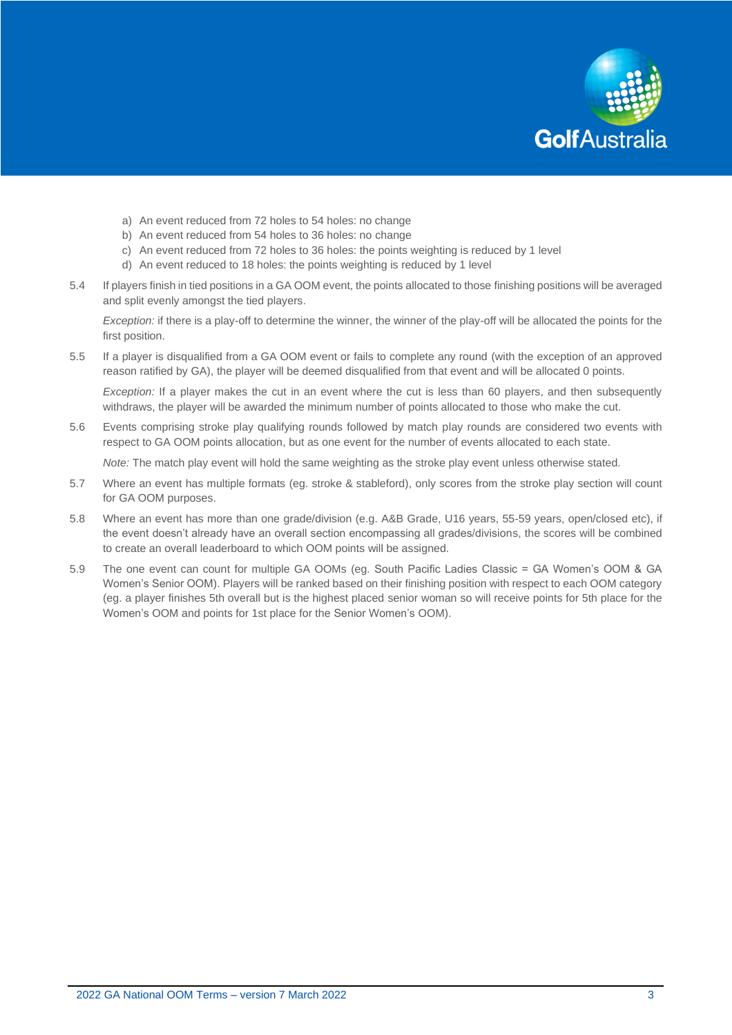

- a) An event reduced from 72 holes to 54 holes: no change
- b) An event reduced from 54 holes to 36 holes: no change
- c) An event reduced from 72 holes to 36 holes: the points weighting is reduced by 1 level
- d) An event reduced to 18 holes: the points weighting is reduced by 1 level
- 5.4 If players finish in tied positions in a GA OOM event, the points allocated to those finishing positions will be averaged and split evenly amongst the tied players.

*Exception:* if there is a play-off to determine the winner, the winner of the play-off will be allocated the points for the first position.

5.5 If a player is disqualified from a GA OOM event or fails to complete any round (with the exception of an approved reason ratified by GA), the player will be deemed disqualified from that event and will be allocated 0 points.

*Exception:* If a player makes the cut in an event where the cut is less than 60 players, and then subsequently withdraws, the player will be awarded the minimum number of points allocated to those who make the cut.

5.6 Events comprising stroke play qualifying rounds followed by match play rounds are considered two events with respect to GA OOM points allocation, but as one event for the number of events allocated to each state.

*Note:* The match play event will hold the same weighting as the stroke play event unless otherwise stated.

- 5.7 Where an event has multiple formats (eg. stroke & stableford), only scores from the stroke play section will count for GA OOM purposes.
- 5.8 Where an event has more than one grade/division (e.g. A&B Grade, U16 years, 55-59 years, open/closed etc), if the event doesn't already have an overall section encompassing all grades/divisions, the scores will be combined to create an overall leaderboard to which OOM points will be assigned.
- 5.9 The one event can count for multiple GA OOMs (eg. South Pacific Ladies Classic = GA Women's OOM & GA Women's Senior OOM). Players will be ranked based on their finishing position with respect to each OOM category (eg. a player finishes 5th overall but is the highest placed senior woman so will receive points for 5th place for the Women's OOM and points for 1st place for the Senior Women's OOM).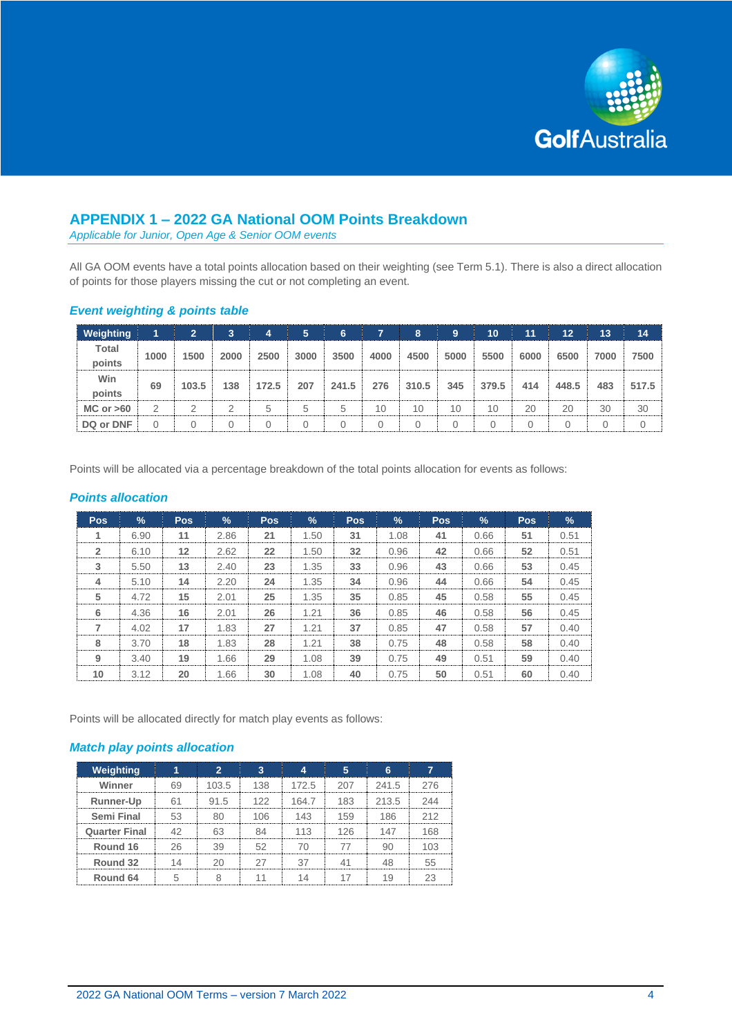

# **APPENDIX 1 – 2022 GA National OOM Points Breakdown**

*Applicable for Junior, Open Age & Senior OOM events*

All GA OOM events have a total points allocation based on their weighting (see Term 5.1). There is also a direct allocation of points for those players missing the cut or not completing an event.

#### *Event weighting & points table*

| <b>Weighting</b> |                | 2     | 3.   | 4     | 5.   | 6     |      | 8     | 9    | 10    | 11   | 12    | 13   | 14       |
|------------------|----------------|-------|------|-------|------|-------|------|-------|------|-------|------|-------|------|----------|
| <b>Total</b>     | 1000           | 1500  | 2000 | 2500  | 3000 | 3500  | 4000 | 4500  | 5000 | 5500  | 6000 | 6500  | 7000 | 7500     |
| points           |                |       |      |       |      |       |      |       |      |       |      |       |      |          |
| Win              |                |       |      |       | 207  |       |      |       |      |       |      |       |      |          |
| points           | 69             | 103.5 | 138  | 172.5 |      | 241.5 | 276  | 310.5 | 345  | 379.5 | 414  | 448.5 | 483  | 517.5    |
| $MC$ or $>60$    | $\overline{2}$ | っ     | 2    | 5     | 5    | 5     | 10   | 10    | 10   | 10    | 20   | 20    | 30   | 30       |
| DQ or DNF        | 0              |       | 0    |       |      | 0     |      |       | 0    |       | 0    |       | 0    | $\Omega$ |

Points will be allocated via a percentage breakdown of the total points allocation for events as follows:

#### *Points allocation*

| <b>Pos</b>              | $\%$ | <b>Pos</b> | %    | <b>Pos</b> | %    | <b>Pos</b> | %    | <b>Pos</b> | $\frac{1}{2}$ | Pos. | $\frac{9}{6}$ |
|-------------------------|------|------------|------|------------|------|------------|------|------------|---------------|------|---------------|
|                         | 6.90 | 11         | 2.86 | 21         | 1.50 | 31         | 1.08 | 41         | 0.66          | 51   | 0.51          |
| $\overline{2}$          | 6.10 | 12         | 2.62 | 22         | 1.50 | 32         | 0.96 | 42         | 0.66          | 52   | 0.51          |
| 3                       | 5.50 | 13         | 2.40 | 23         | 1.35 | 33         | 0.96 | 43         | 0.66          | 53   | 0.45          |
| $\overline{\mathbf{4}}$ | 5.10 | 14         | 2.20 | 24         | 1.35 | 34         | 0.96 | 44         | 0.66          | 54   | 0.45          |
| 5                       | 4.72 | 15         | 2.01 | 25         | 1.35 | 35         | 0.85 | 45         | 0.58          | 55   | 0.45          |
| 6                       | 4.36 | 16         | 2.01 | 26         | 1.21 | 36         | 0.85 | 46         | 0.58          | 56   | 0.45          |
| 7                       | 4.02 | 17         | 1.83 | 27         | 1.21 | 37         | 0.85 | 47         | 0.58          | 57   | 0.40          |
| 8                       | 3.70 | 18         | 1.83 | 28         | 1.21 | 38         | 0.75 | 48         | 0.58          | 58   | 0.40          |
| 9                       | 3.40 | 19         | 1.66 | 29         | 1.08 | 39         | 0.75 | 49         | 0.51          | 59   | 0.40          |
| 10                      | 3.12 | 20         | 1.66 | 30         | 1.08 | 40         | 0.75 | 50         | 0.51          | 60   | 0.40          |

Points will be allocated directly for match play events as follows:

## *Match play points allocation*

| Weighting            |       |          |       |     |       |     |
|----------------------|-------|----------|-------|-----|-------|-----|
| Winner               | 103.5 | 138      | 172.5 | 207 | 241.5 | 276 |
| Runner-Up            | 91.5  | 122      | 1647  | 183 | 213.5 | 244 |
| Semi Final           |       | 1 $\cap$ | 143   |     | 186   | 212 |
| <b>Quarter Final</b> |       |          | 113   | 126 | 147   | 168 |
| Round 16             |       |          |       |     |       |     |
| Round 32             |       |          |       |     |       |     |
| Round 64             |       |          |       |     |       |     |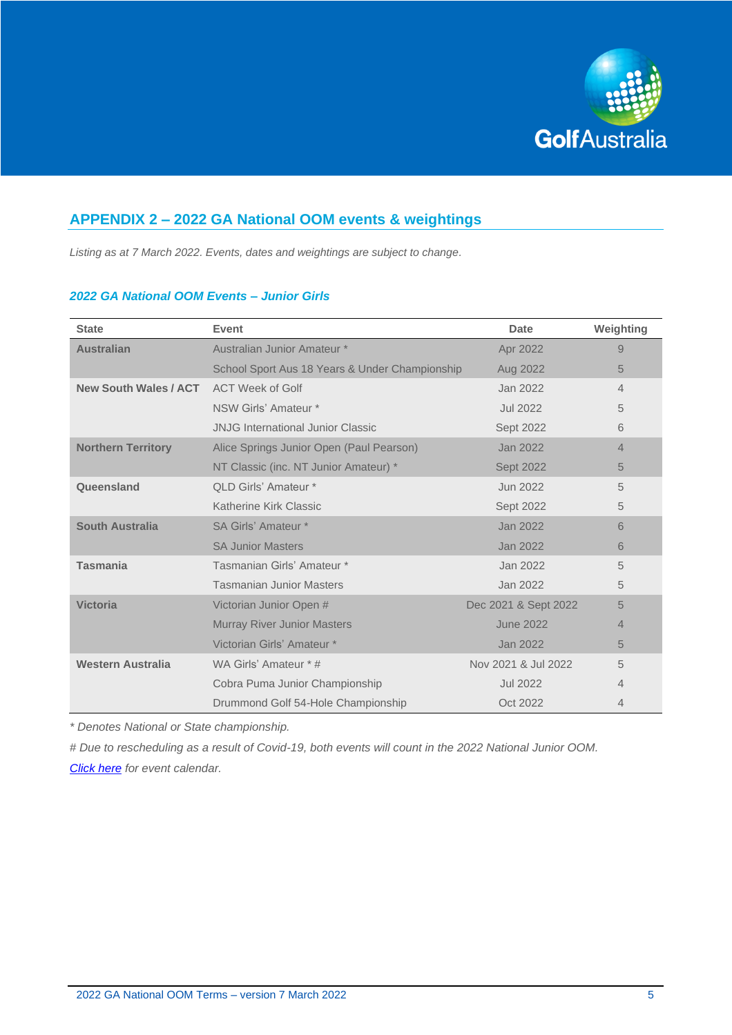

# **APPENDIX 2 – 2022 GA National OOM events & weightings**

*Listing as at 7 March 2022. Events, dates and weightings are subject to change.*

#### *2022 GA National OOM Events – Junior Girls*

| <b>State</b>                 | Event                                          | <b>Date</b>          | Weighting |
|------------------------------|------------------------------------------------|----------------------|-----------|
| <b>Australian</b>            | Australian Junior Amateur *                    | Apr 2022             | 9         |
|                              | School Sport Aus 18 Years & Under Championship | Aug 2022             | 5         |
| <b>New South Wales / ACT</b> | <b>ACT Week of Golf</b>                        | Jan 2022             | 4         |
|                              | NSW Girls' Amateur *                           | <b>Jul 2022</b>      | 5         |
|                              | <b>JNJG International Junior Classic</b>       | Sept 2022            | 6         |
| <b>Northern Territory</b>    | Alice Springs Junior Open (Paul Pearson)       | Jan 2022             | 4         |
|                              | NT Classic (inc. NT Junior Amateur) *          | <b>Sept 2022</b>     | 5         |
| Queensland                   | OLD Girls' Amateur *                           | Jun 2022             | 5         |
|                              | Katherine Kirk Classic                         | Sept 2022            | 5         |
| <b>South Australia</b>       | SA Girls' Amateur *                            | Jan 2022             | 6         |
|                              | <b>SA Junior Masters</b>                       | Jan 2022             | 6         |
| <b>Tasmania</b>              | Tasmanian Girls' Amateur *                     | Jan 2022             | 5         |
|                              | <b>Tasmanian Junior Masters</b>                | Jan 2022             | 5         |
| <b>Victoria</b>              | Victorian Junior Open #                        | Dec 2021 & Sept 2022 | 5         |
|                              | <b>Murray River Junior Masters</b>             | <b>June 2022</b>     | 4         |
|                              | Victorian Girls' Amateur *                     | Jan 2022             | 5         |
| <b>Western Australia</b>     | WA Girls' Amateur * #                          | Nov 2021 & Jul 2022  | 5         |
|                              | Cobra Puma Junior Championship                 | <b>Jul 2022</b>      | 4         |
|                              | Drummond Golf 54-Hole Championship             | Oct 2022             | 4         |

*\* Denotes National or State championship.*

*# Due to rescheduling as a result of Covid-19, both events will count in the 2022 National Junior OOM. [Click here](https://www.golf.org.au/events#/customer/1090/schedule/2022/10638,10652,10665,10678,10691,10704,10717) for event calendar.*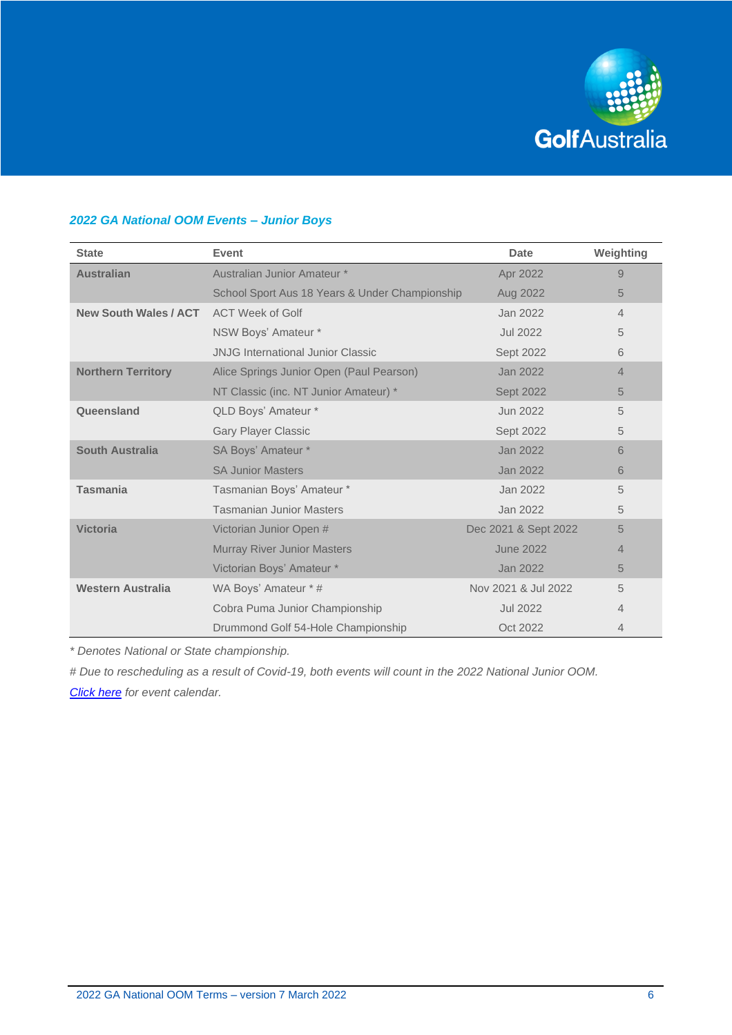

## *2022 GA National OOM Events – Junior Boys*

| <b>State</b>                 | <b>Event</b>                                   | Date                 | Weighting      |
|------------------------------|------------------------------------------------|----------------------|----------------|
| <b>Australian</b>            | Australian Junior Amateur *                    | Apr 2022             | 9              |
|                              | School Sport Aus 18 Years & Under Championship | Aug 2022             | 5              |
| <b>New South Wales / ACT</b> | <b>ACT Week of Golf</b>                        | Jan 2022             | 4              |
|                              | NSW Boys' Amateur *                            | <b>Jul 2022</b>      | 5              |
|                              | <b>JNJG International Junior Classic</b>       | Sept 2022            | 6              |
| <b>Northern Territory</b>    | Alice Springs Junior Open (Paul Pearson)       | Jan 2022             | $\overline{4}$ |
|                              | NT Classic (inc. NT Junior Amateur) *          | <b>Sept 2022</b>     | 5              |
| Queensland                   | QLD Boys' Amateur *                            | Jun 2022             | 5              |
|                              | <b>Gary Player Classic</b>                     | Sept 2022            | 5              |
| <b>South Australia</b>       | SA Boys' Amateur *                             | Jan 2022             | 6              |
|                              | <b>SA Junior Masters</b>                       | Jan 2022             | 6              |
| <b>Tasmania</b>              | Tasmanian Boys' Amateur *                      | Jan 2022             | 5              |
|                              | <b>Tasmanian Junior Masters</b>                | Jan 2022             | 5              |
| <b>Victoria</b>              | Victorian Junior Open #                        | Dec 2021 & Sept 2022 | 5              |
|                              | <b>Murray River Junior Masters</b>             | <b>June 2022</b>     | 4              |
|                              | Victorian Boys' Amateur *                      | Jan 2022             | 5              |
| <b>Western Australia</b>     | WA Boys' Amateur * #                           | Nov 2021 & Jul 2022  | 5              |
|                              | Cobra Puma Junior Championship                 | <b>Jul 2022</b>      | 4              |
|                              | Drummond Golf 54-Hole Championship             | Oct 2022             | 4              |

*\* Denotes National or State championship.*

*# Due to rescheduling as a result of Covid-19, both events will count in the 2022 National Junior OOM. [Click here](https://www.golf.org.au/events#/customer/1090/schedule/2022/10638,10652,10665,10678,10691,10704,10717) for event calendar.*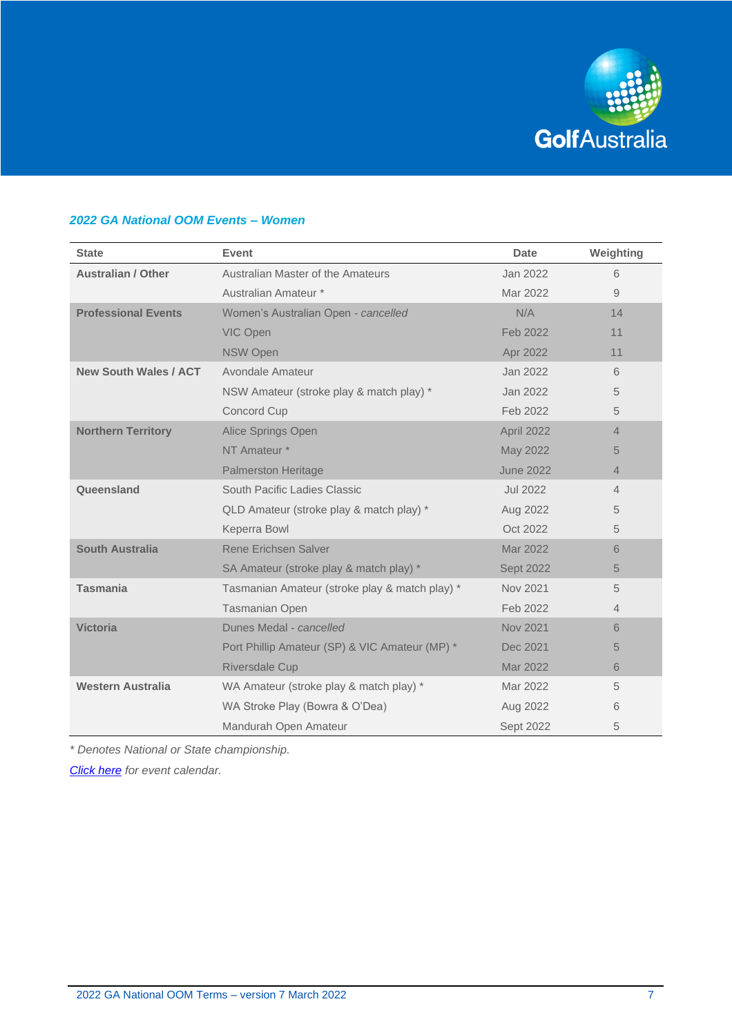

# *2022 GA National OOM Events – Women*

| <b>State</b>                 | <b>Event</b>                                   | <b>Date</b>      | Weighting      |
|------------------------------|------------------------------------------------|------------------|----------------|
| <b>Australian / Other</b>    | Australian Master of the Amateurs              | Jan 2022         | 6              |
|                              | Australian Amateur *                           | Mar 2022         | 9              |
| <b>Professional Events</b>   | Women's Australian Open - cancelled            | N/A              | 14             |
|                              | VIC Open                                       | Feb 2022         | 11             |
|                              | <b>NSW Open</b>                                | Apr 2022         | 11             |
| <b>New South Wales / ACT</b> | Avondale Amateur                               | Jan 2022         | 6              |
|                              | NSW Amateur (stroke play & match play) *       | Jan 2022         | 5              |
|                              | Concord Cup                                    | Feb 2022         | 5              |
| <b>Northern Territory</b>    | Alice Springs Open                             | April 2022       | $\overline{4}$ |
|                              | NT Amateur *                                   | May 2022         | 5              |
|                              | <b>Palmerston Heritage</b>                     | <b>June 2022</b> | $\overline{4}$ |
| Queensland                   | South Pacific Ladies Classic                   | <b>Jul 2022</b>  | $\overline{4}$ |
|                              | QLD Amateur (stroke play & match play) *       | Aug 2022         | 5              |
|                              | Keperra Bowl                                   | Oct 2022         | 5              |
| <b>South Australia</b>       | <b>Rene Erichsen Salver</b>                    | Mar 2022         | 6              |
|                              | SA Amateur (stroke play & match play) *        | <b>Sept 2022</b> | 5              |
| <b>Tasmania</b>              | Tasmanian Amateur (stroke play & match play) * | Nov 2021         | 5              |
|                              | <b>Tasmanian Open</b>                          | Feb 2022         | 4              |
| <b>Victoria</b>              | Dunes Medal - cancelled                        | <b>Nov 2021</b>  | 6              |
|                              | Port Phillip Amateur (SP) & VIC Amateur (MP) * | Dec 2021         | 5              |
|                              | <b>Riversdale Cup</b>                          | Mar 2022         | 6              |
| <b>Western Australia</b>     | WA Amateur (stroke play & match play) *        | Mar 2022         | 5              |
|                              | WA Stroke Play (Bowra & O'Dea)                 | Aug 2022         | 6              |
|                              | Mandurah Open Amateur                          | Sept 2022        | 5              |

*\* Denotes National or State championship.*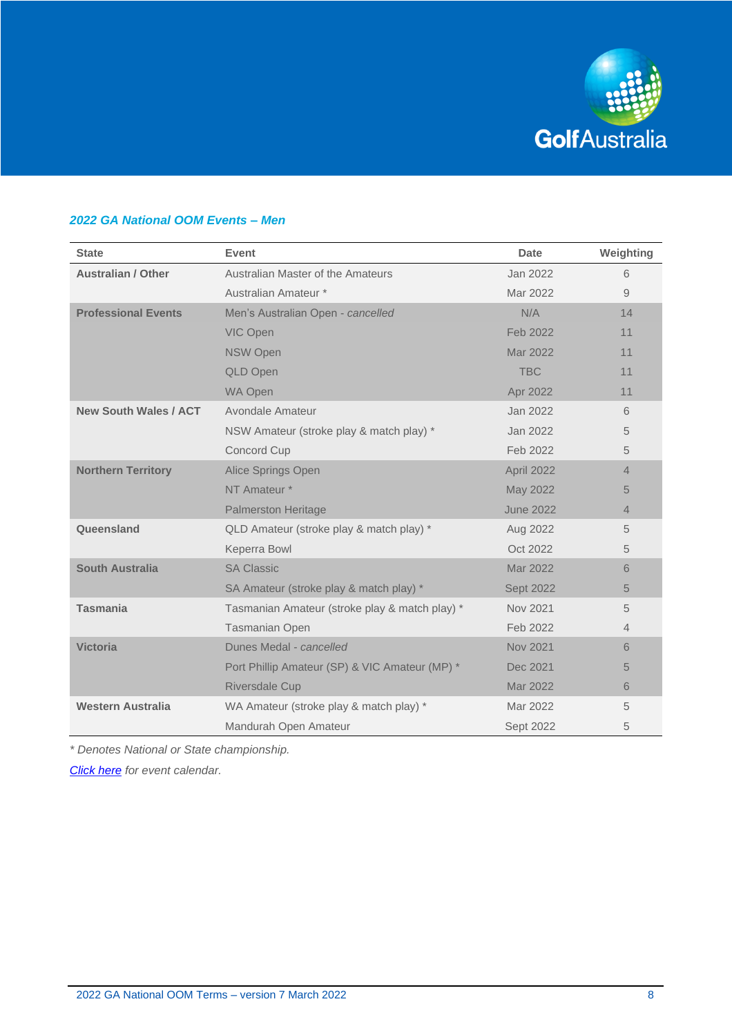

# *2022 GA National OOM Events – Men*

| <b>State</b>                 | Event                                          | Date             | Weighting |
|------------------------------|------------------------------------------------|------------------|-----------|
| <b>Australian / Other</b>    | Australian Master of the Amateurs              | Jan 2022         | 6         |
|                              | Australian Amateur *                           | Mar 2022         | 9         |
| <b>Professional Events</b>   | Men's Australian Open - cancelled              | N/A              | 14        |
|                              | VIC Open                                       | Feb 2022         | 11        |
|                              | <b>NSW Open</b>                                | Mar 2022         | 11        |
|                              | <b>QLD Open</b>                                | <b>TBC</b>       | 11        |
|                              | <b>WA Open</b>                                 | Apr 2022         | 11        |
| <b>New South Wales / ACT</b> | Avondale Amateur                               | Jan 2022         | 6         |
|                              | NSW Amateur (stroke play & match play) *       | Jan 2022         | 5         |
|                              | Concord Cup                                    | Feb 2022         | 5         |
| <b>Northern Territory</b>    | Alice Springs Open                             | April 2022       | 4         |
|                              | NT Amateur *                                   | May 2022         | 5         |
|                              | <b>Palmerston Heritage</b>                     | <b>June 2022</b> | 4         |
| Queensland                   | QLD Amateur (stroke play & match play) *       | Aug 2022         | 5         |
|                              | Keperra Bowl                                   | Oct 2022         | 5         |
| <b>South Australia</b>       | <b>SA Classic</b>                              | Mar 2022         | 6         |
|                              | SA Amateur (stroke play & match play) *        | Sept 2022        | 5         |
| <b>Tasmania</b>              | Tasmanian Amateur (stroke play & match play) * | Nov 2021         | 5         |
|                              | <b>Tasmanian Open</b>                          | Feb 2022         | 4         |
| <b>Victoria</b>              | Dunes Medal - cancelled                        | Nov 2021         | 6         |
|                              | Port Phillip Amateur (SP) & VIC Amateur (MP) * | Dec 2021         | 5         |
|                              | Riversdale Cup                                 | Mar 2022         | 6         |
| <b>Western Australia</b>     | WA Amateur (stroke play & match play) *        | Mar 2022         | 5         |
|                              | Mandurah Open Amateur                          | Sept 2022        | 5         |

*\* Denotes National or State championship.*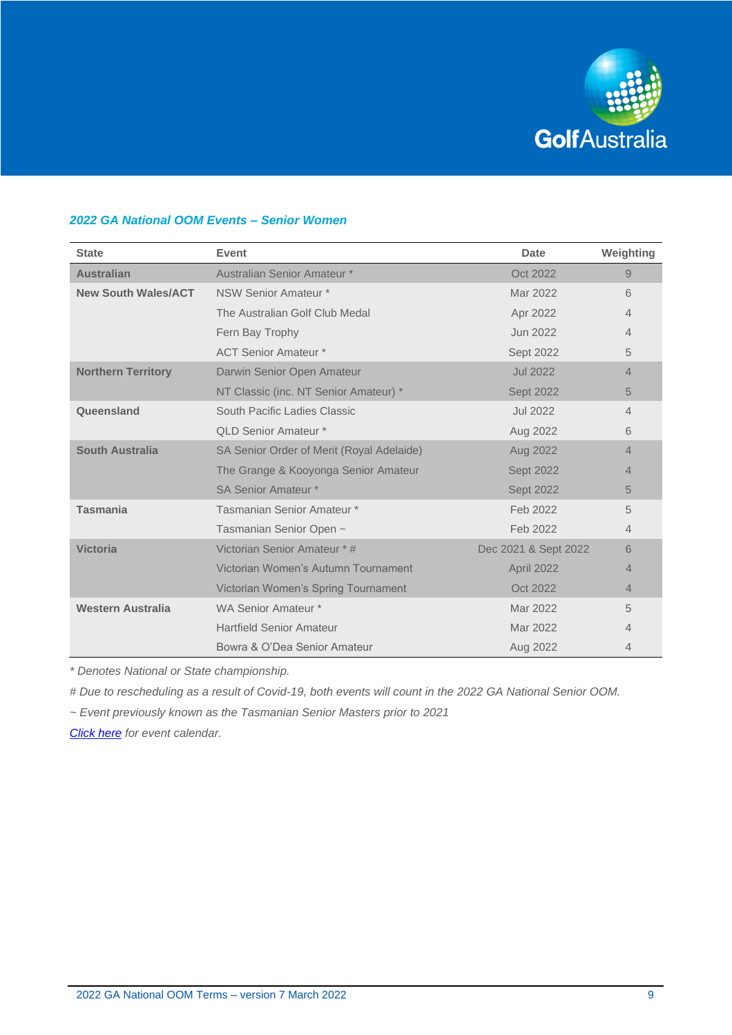

## *2022 GA National OOM Events – Senior Women*

| <b>State</b>               | Event                                     | Date                 | Weighting      |
|----------------------------|-------------------------------------------|----------------------|----------------|
| <b>Australian</b>          | Australian Senior Amateur *               | Oct 2022             | 9              |
| <b>New South Wales/ACT</b> | NSW Senior Amateur *                      | Mar 2022             | 6              |
|                            | The Australian Golf Club Medal            | Apr 2022             | 4              |
|                            | Fern Bay Trophy                           | Jun 2022             | $\overline{4}$ |
|                            | <b>ACT Senior Amateur *</b>               | Sept 2022            | 5              |
| <b>Northern Territory</b>  | Darwin Senior Open Amateur                | <b>Jul 2022</b>      | 4              |
|                            | NT Classic (inc. NT Senior Amateur) *     | <b>Sept 2022</b>     | 5              |
| Queensland                 | South Pacific Ladies Classic              | <b>Jul 2022</b>      | $\overline{4}$ |
|                            | <b>QLD Senior Amateur *</b>               | Aug 2022             | 6              |
| South Australia            | SA Senior Order of Merit (Royal Adelaide) | Aug 2022             | $\overline{4}$ |
|                            | The Grange & Kooyonga Senior Amateur      | <b>Sept 2022</b>     | 4              |
|                            | <b>SA Senior Amateur *</b>                | <b>Sept 2022</b>     | 5              |
| <b>Tasmania</b>            | Tasmanian Senior Amateur *                | Feb 2022             | 5              |
|                            | Tasmanian Senior Open ~                   | Feb 2022             | 4              |
| <b>Victoria</b>            | Victorian Senior Amateur * #              | Dec 2021 & Sept 2022 | 6              |
|                            | Victorian Women's Autumn Tournament       | April 2022           | 4              |
|                            | Victorian Women's Spring Tournament       | Oct 2022             | $\overline{4}$ |
| <b>Western Australia</b>   | WA Senior Amateur *                       | Mar 2022             | 5              |
|                            | <b>Hartfield Senior Amateur</b>           | Mar 2022             | 4              |
|                            | Bowra & O'Dea Senior Amateur              | Aug 2022             | 4              |

*\* Denotes National or State championship.*

*# Due to rescheduling as a result of Covid-19, both events will count in the 2022 GA National Senior OOM.* 

*~ Event previously known as the Tasmanian Senior Masters prior to 2021*